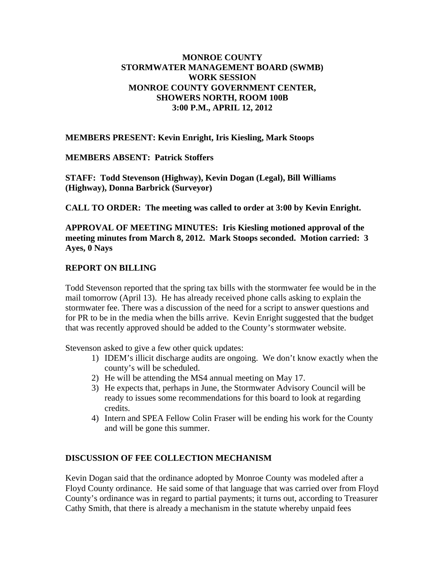## **MONROE COUNTY STORMWATER MANAGEMENT BOARD (SWMB) WORK SESSION MONROE COUNTY GOVERNMENT CENTER, SHOWERS NORTH, ROOM 100B 3:00 P.M., APRIL 12, 2012**

**MEMBERS PRESENT: Kevin Enright, Iris Kiesling, Mark Stoops**

**MEMBERS ABSENT: Patrick Stoffers**

**STAFF: Todd Stevenson (Highway), Kevin Dogan (Legal), Bill Williams (Highway), Donna Barbrick (Surveyor)**

**CALL TO ORDER: The meeting was called to order at 3:00 by Kevin Enright.**

**APPROVAL OF MEETING MINUTES: Iris Kiesling motioned approval of the meeting minutes from March 8, 2012. Mark Stoops seconded. Motion carried: 3 Ayes, 0 Nays**

### **REPORT ON BILLING**

Todd Stevenson reported that the spring tax bills with the stormwater fee would be in the mail tomorrow (April 13). He has already received phone calls asking to explain the stormwater fee. There was a discussion of the need for a script to answer questions and for PR to be in the media when the bills arrive. Kevin Enright suggested that the budget that was recently approved should be added to the County's stormwater website.

Stevenson asked to give a few other quick updates:

- 1) IDEM's illicit discharge audits are ongoing. We don't know exactly when the county's will be scheduled.
- 2) He will be attending the MS4 annual meeting on May 17.
- 3) He expects that, perhaps in June, the Stormwater Advisory Council will be ready to issues some recommendations for this board to look at regarding credits.
- 4) Intern and SPEA Fellow Colin Fraser will be ending his work for the County and will be gone this summer.

#### **DISCUSSION OF FEE COLLECTION MECHANISM**

Kevin Dogan said that the ordinance adopted by Monroe County was modeled after a Floyd County ordinance. He said some of that language that was carried over from Floyd County's ordinance was in regard to partial payments; it turns out, according to Treasurer Cathy Smith, that there is already a mechanism in the statute whereby unpaid fees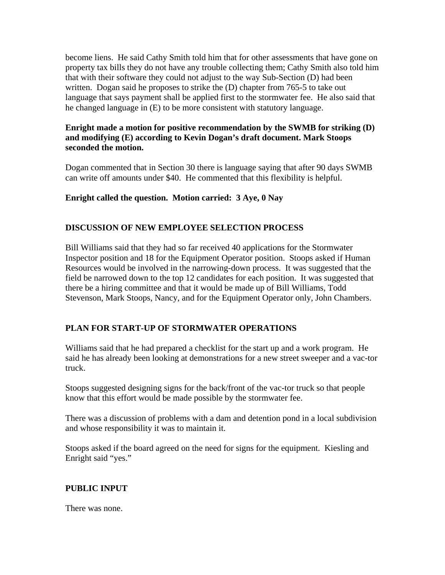become liens. He said Cathy Smith told him that for other assessments that have gone on property tax bills they do not have any trouble collecting them; Cathy Smith also told him that with their software they could not adjust to the way Sub-Section (D) had been written. Dogan said he proposes to strike the (D) chapter from 765-5 to take out language that says payment shall be applied first to the stormwater fee. He also said that he changed language in (E) to be more consistent with statutory language.

## **Enright made a motion for positive recommendation by the SWMB for striking (D) and modifying (E) according to Kevin Dogan's draft document. Mark Stoops seconded the motion.**

Dogan commented that in Section 30 there is language saying that after 90 days SWMB can write off amounts under \$40. He commented that this flexibility is helpful.

### **Enright called the question. Motion carried: 3 Aye, 0 Nay**

### **DISCUSSION OF NEW EMPLOYEE SELECTION PROCESS**

Bill Williams said that they had so far received 40 applications for the Stormwater Inspector position and 18 for the Equipment Operator position. Stoops asked if Human Resources would be involved in the narrowing-down process. It was suggested that the field be narrowed down to the top 12 candidates for each position. It was suggested that there be a hiring committee and that it would be made up of Bill Williams, Todd Stevenson, Mark Stoops, Nancy, and for the Equipment Operator only, John Chambers.

# **PLAN FOR START-UP OF STORMWATER OPERATIONS**

Williams said that he had prepared a checklist for the start up and a work program. He said he has already been looking at demonstrations for a new street sweeper and a vac-tor truck.

Stoops suggested designing signs for the back/front of the vac-tor truck so that people know that this effort would be made possible by the stormwater fee.

There was a discussion of problems with a dam and detention pond in a local subdivision and whose responsibility it was to maintain it.

Stoops asked if the board agreed on the need for signs for the equipment. Kiesling and Enright said "yes."

#### **PUBLIC INPUT**

There was none.